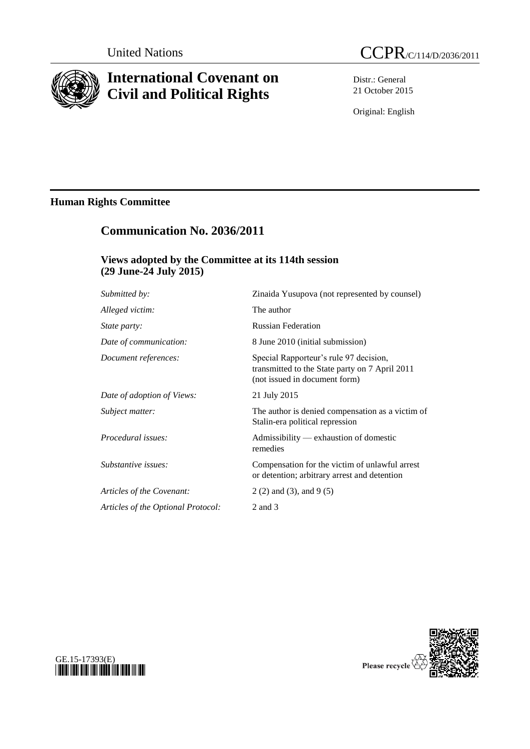

# **International Covenant on Civil and Political Rights**

Distr.: General 21 October 2015

Original: English

# **Human Rights Committee**

# **Communication No. 2036/2011**

## **Views adopted by the Committee at its 114th session (29 June-24 July 2015)**

| Submitted by:                      | Zinaida Yusupova (not represented by counsel)                                                                             |
|------------------------------------|---------------------------------------------------------------------------------------------------------------------------|
| Alleged victim:                    | The author                                                                                                                |
| <i>State party:</i>                | <b>Russian Federation</b>                                                                                                 |
| Date of communication:             | 8 June 2010 (initial submission)                                                                                          |
| Document references:               | Special Rapporteur's rule 97 decision,<br>transmitted to the State party on 7 April 2011<br>(not issued in document form) |
| Date of adoption of Views:         | 21 July 2015                                                                                                              |
| Subject matter:                    | The author is denied compensation as a victim of<br>Stalin-era political repression                                       |
| Procedural issues:                 | Admissibility — exhaustion of domestic<br>remedies                                                                        |
| Substantive issues:                | Compensation for the victim of unlawful arrest<br>or detention; arbitrary arrest and detention                            |
| Articles of the Covenant:          | $2(2)$ and (3), and 9 (5)                                                                                                 |
| Articles of the Optional Protocol: | 2 and 3                                                                                                                   |
|                                    |                                                                                                                           |



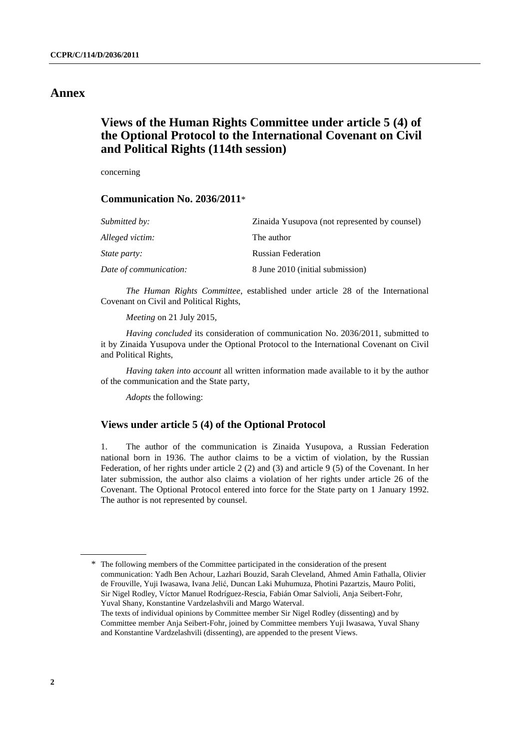### **Annex**

## **Views of the Human Rights Committee under article 5 (4) of the Optional Protocol to the International Covenant on Civil and Political Rights (114th session)**

concerning

### **Communication No. 2036/2011**\*

| <i>Submitted by:</i>   | Zinaida Yusupova (not represented by counsel) |
|------------------------|-----------------------------------------------|
| Alleged victim:        | The author                                    |
| <i>State party:</i>    | <b>Russian Federation</b>                     |
| Date of communication: | 8 June 2010 (initial submission)              |

*The Human Rights Committee*, established under article 28 of the International Covenant on Civil and Political Rights,

*Meeting* on 21 July 2015,

*Having concluded* its consideration of communication No. 2036/2011, submitted to it by Zinaida Yusupova under the Optional Protocol to the International Covenant on Civil and Political Rights,

*Having taken into account* all written information made available to it by the author of the communication and the State party,

*Adopts* the following:

### **Views under article 5 (4) of the Optional Protocol**

1. The author of the communication is Zinaida Yusupova, a Russian Federation national born in 1936. The author claims to be a victim of violation, by the Russian Federation, of her rights under article 2 (2) and (3) and article 9 (5) of the Covenant. In her later submission, the author also claims a violation of her rights under article 26 of the Covenant. The Optional Protocol entered into force for the State party on 1 January 1992. The author is not represented by counsel.

<sup>\*</sup> The following members of the Committee participated in the consideration of the present communication: Yadh Ben Achour, Lazhari Bouzid, Sarah Cleveland, Ahmed Amin Fathalla, Olivier de Frouville, Yuji Iwasawa, Ivana Jelić, Duncan Laki Muhumuza, Photini Pazartzis, Mauro Politi, Sir Nigel Rodley, Víctor Manuel Rodríguez-Rescia, Fabián Omar Salvioli, Anja Seibert-Fohr, Yuval Shany, Konstantine Vardzelashvili and Margo Waterval.

The texts of individual opinions by Committee member Sir Nigel Rodley (dissenting) and by Committee member Anja Seibert-Fohr, joined by Committee members Yuji Iwasawa, Yuval Shany and Konstantine Vardzelashvili (dissenting), are appended to the present Views.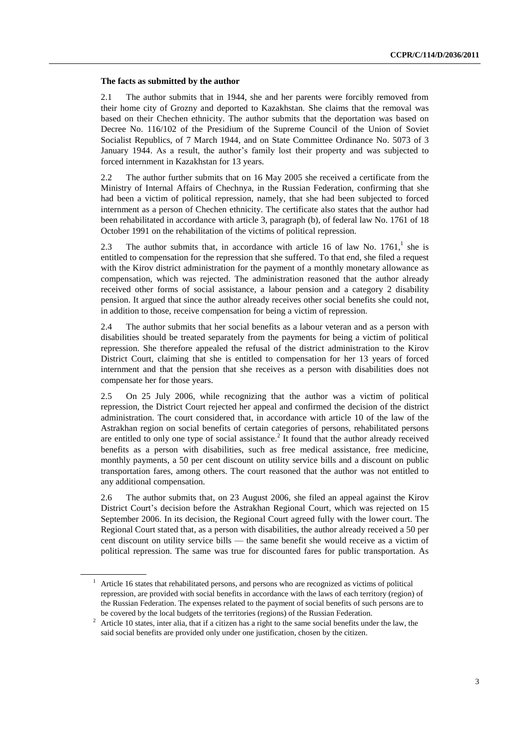#### **The facts as submitted by the author**

2.1 The author submits that in 1944, she and her parents were forcibly removed from their home city of Grozny and deported to Kazakhstan. She claims that the removal was based on their Chechen ethnicity. The author submits that the deportation was based on Decree No. 116/102 of the Presidium of the Supreme Council of the Union of Soviet Socialist Republics, of 7 March 1944, and on State Committee Ordinance No. 5073 of 3 January 1944. As a result, the author's family lost their property and was subjected to forced internment in Kazakhstan for 13 years.

2.2 The author further submits that on 16 May 2005 she received a certificate from the Ministry of Internal Affairs of Chechnya, in the Russian Federation, confirming that she had been a victim of political repression, namely, that she had been subjected to forced internment as a person of Chechen ethnicity. The certificate also states that the author had been rehabilitated in accordance with article 3, paragraph (b), of federal law No. 1761 of 18 October 1991 on the rehabilitation of the victims of political repression.

2.3 The author submits that, in accordance with article 16 of law No.  $1761<sup>1</sup>$ , she is entitled to compensation for the repression that she suffered. To that end, she filed a request with the Kirov district administration for the payment of a monthly monetary allowance as compensation, which was rejected. The administration reasoned that the author already received other forms of social assistance, a labour pension and a category 2 disability pension. It argued that since the author already receives other social benefits she could not, in addition to those, receive compensation for being a victim of repression.

2.4 The author submits that her social benefits as a labour veteran and as a person with disabilities should be treated separately from the payments for being a victim of political repression. She therefore appealed the refusal of the district administration to the Kirov District Court, claiming that she is entitled to compensation for her 13 years of forced internment and that the pension that she receives as a person with disabilities does not compensate her for those years.

2.5 On 25 July 2006, while recognizing that the author was a victim of political repression, the District Court rejected her appeal and confirmed the decision of the district administration. The court considered that, in accordance with article 10 of the law of the Astrakhan region on social benefits of certain categories of persons, rehabilitated persons are entitled to only one type of social assistance.<sup>2</sup> It found that the author already received benefits as a person with disabilities, such as free medical assistance, free medicine, monthly payments, a 50 per cent discount on utility service bills and a discount on public transportation fares, among others. The court reasoned that the author was not entitled to any additional compensation.

2.6 The author submits that, on 23 August 2006, she filed an appeal against the Kirov District Court's decision before the Astrakhan Regional Court, which was rejected on 15 September 2006. In its decision, the Regional Court agreed fully with the lower court. The Regional Court stated that, as a person with disabilities, the author already received a 50 per cent discount on utility service bills — the same benefit she would receive as a victim of political repression. The same was true for discounted fares for public transportation. As

<sup>1</sup> Article 16 states that rehabilitated persons, and persons who are recognized as victims of political repression, are provided with social benefits in accordance with the laws of each territory (region) of the Russian Federation. The expenses related to the payment of social benefits of such persons are to be covered by the local budgets of the territories (regions) of the Russian Federation.

<sup>&</sup>lt;sup>2</sup> Article 10 states, inter alia, that if a citizen has a right to the same social benefits under the law, the said social benefits are provided only under one justification, chosen by the citizen.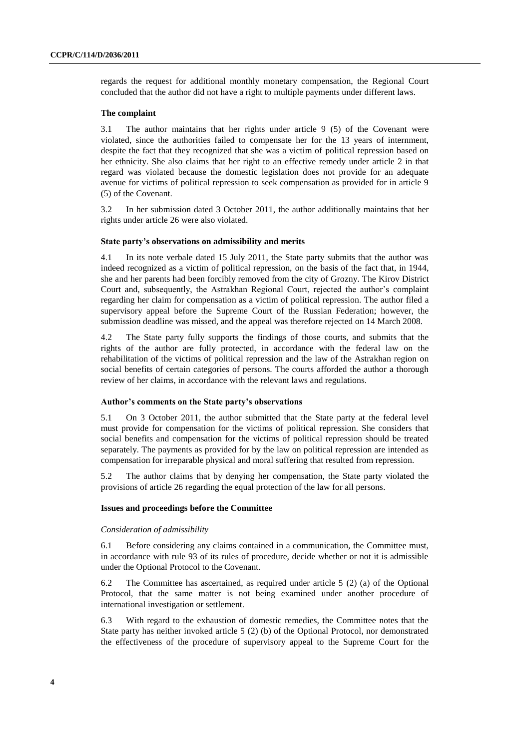regards the request for additional monthly monetary compensation, the Regional Court concluded that the author did not have a right to multiple payments under different laws.

#### **The complaint**

3.1 The author maintains that her rights under article 9 (5) of the Covenant were violated, since the authorities failed to compensate her for the 13 years of internment, despite the fact that they recognized that she was a victim of political repression based on her ethnicity. She also claims that her right to an effective remedy under article 2 in that regard was violated because the domestic legislation does not provide for an adequate avenue for victims of political repression to seek compensation as provided for in article 9 (5) of the Covenant.

3.2 In her submission dated 3 October 2011, the author additionally maintains that her rights under article 26 were also violated.

#### **State party's observations on admissibility and merits**

4.1 In its note verbale dated 15 July 2011, the State party submits that the author was indeed recognized as a victim of political repression, on the basis of the fact that, in 1944, she and her parents had been forcibly removed from the city of Grozny. The Kirov District Court and, subsequently, the Astrakhan Regional Court, rejected the author's complaint regarding her claim for compensation as a victim of political repression. The author filed a supervisory appeal before the Supreme Court of the Russian Federation; however, the submission deadline was missed, and the appeal was therefore rejected on 14 March 2008.

4.2 The State party fully supports the findings of those courts, and submits that the rights of the author are fully protected, in accordance with the federal law on the rehabilitation of the victims of political repression and the law of the Astrakhan region on social benefits of certain categories of persons. The courts afforded the author a thorough review of her claims, in accordance with the relevant laws and regulations.

#### **Author's comments on the State party's observations**

5.1 On 3 October 2011, the author submitted that the State party at the federal level must provide for compensation for the victims of political repression. She considers that social benefits and compensation for the victims of political repression should be treated separately. The payments as provided for by the law on political repression are intended as compensation for irreparable physical and moral suffering that resulted from repression.

5.2 The author claims that by denying her compensation, the State party violated the provisions of article 26 regarding the equal protection of the law for all persons.

#### **Issues and proceedings before the Committee**

#### *Consideration of admissibility*

6.1 Before considering any claims contained in a communication, the Committee must, in accordance with rule 93 of its rules of procedure, decide whether or not it is admissible under the Optional Protocol to the Covenant.

6.2 The Committee has ascertained, as required under article 5 (2) (a) of the Optional Protocol, that the same matter is not being examined under another procedure of international investigation or settlement.

6.3 With regard to the exhaustion of domestic remedies, the Committee notes that the State party has neither invoked article 5 (2) (b) of the Optional Protocol, nor demonstrated the effectiveness of the procedure of supervisory appeal to the Supreme Court for the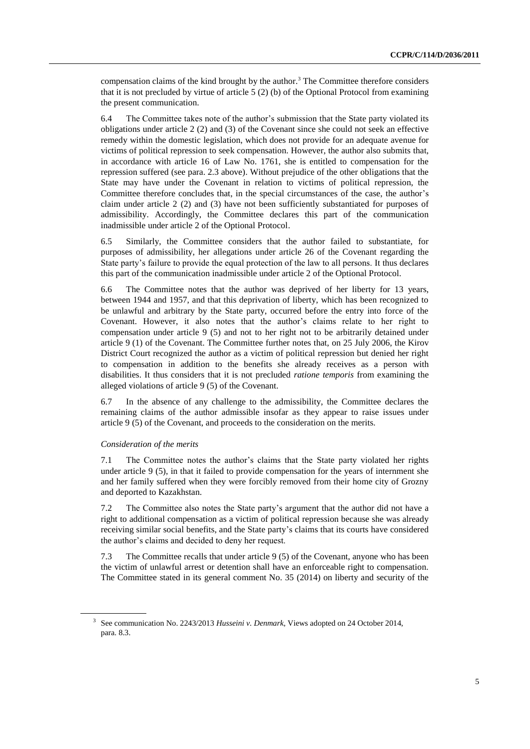compensation claims of the kind brought by the author.<sup>3</sup> The Committee therefore considers that it is not precluded by virtue of article  $5(2)$  (b) of the Optional Protocol from examining the present communication.

6.4 The Committee takes note of the author's submission that the State party violated its obligations under article 2 (2) and (3) of the Covenant since she could not seek an effective remedy within the domestic legislation, which does not provide for an adequate avenue for victims of political repression to seek compensation. However, the author also submits that, in accordance with article 16 of Law No. 1761, she is entitled to compensation for the repression suffered (see para. 2.3 above). Without prejudice of the other obligations that the State may have under the Covenant in relation to victims of political repression, the Committee therefore concludes that, in the special circumstances of the case, the author's claim under article 2 (2) and (3) have not been sufficiently substantiated for purposes of admissibility. Accordingly, the Committee declares this part of the communication inadmissible under article 2 of the Optional Protocol.

6.5 Similarly, the Committee considers that the author failed to substantiate, for purposes of admissibility, her allegations under article 26 of the Covenant regarding the State party's failure to provide the equal protection of the law to all persons. It thus declares this part of the communication inadmissible under article 2 of the Optional Protocol.

6.6 The Committee notes that the author was deprived of her liberty for 13 years, between 1944 and 1957, and that this deprivation of liberty, which has been recognized to be unlawful and arbitrary by the State party, occurred before the entry into force of the Covenant. However, it also notes that the author's claims relate to her right to compensation under article 9 (5) and not to her right not to be arbitrarily detained under article 9 (1) of the Covenant. The Committee further notes that, on 25 July 2006, the Kirov District Court recognized the author as a victim of political repression but denied her right to compensation in addition to the benefits she already receives as a person with disabilities. It thus considers that it is not precluded *ratione temporis* from examining the alleged violations of article 9 (5) of the Covenant.

6.7 In the absence of any challenge to the admissibility, the Committee declares the remaining claims of the author admissible insofar as they appear to raise issues under article 9 (5) of the Covenant, and proceeds to the consideration on the merits.

### *Consideration of the merits*

7.1 The Committee notes the author's claims that the State party violated her rights under article 9 (5), in that it failed to provide compensation for the years of internment she and her family suffered when they were forcibly removed from their home city of Grozny and deported to Kazakhstan.

7.2 The Committee also notes the State party's argument that the author did not have a right to additional compensation as a victim of political repression because she was already receiving similar social benefits, and the State party's claims that its courts have considered the author's claims and decided to deny her request.

7.3 The Committee recalls that under article 9 (5) of the Covenant, anyone who has been the victim of unlawful arrest or detention shall have an enforceable right to compensation. The Committee stated in its general comment No. 35 (2014) on liberty and security of the

<sup>3</sup> See communication No. 2243/2013 *Husseini v. Denmark*, Views adopted on 24 October 2014, para. 8.3.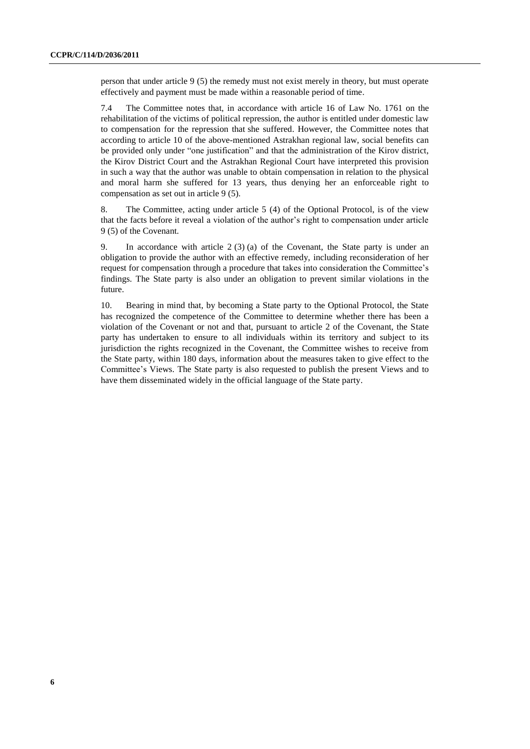person that under article 9 (5) the remedy must not exist merely in theory, but must operate effectively and payment must be made within a reasonable period of time.

7.4 The Committee notes that, in accordance with article 16 of Law No. 1761 on the rehabilitation of the victims of political repression, the author is entitled under domestic law to compensation for the repression that she suffered. However, the Committee notes that according to article 10 of the above-mentioned Astrakhan regional law, social benefits can be provided only under "one justification" and that the administration of the Kirov district, the Kirov District Court and the Astrakhan Regional Court have interpreted this provision in such a way that the author was unable to obtain compensation in relation to the physical and moral harm she suffered for 13 years, thus denying her an enforceable right to compensation as set out in article 9 (5).

8. The Committee, acting under article 5 (4) of the Optional Protocol, is of the view that the facts before it reveal a violation of the author's right to compensation under article 9 (5) of the Covenant.

9. In accordance with article 2 (3) (a) of the Covenant, the State party is under an obligation to provide the author with an effective remedy, including reconsideration of her request for compensation through a procedure that takes into consideration the Committee's findings. The State party is also under an obligation to prevent similar violations in the future.

10. Bearing in mind that, by becoming a State party to the Optional Protocol, the State has recognized the competence of the Committee to determine whether there has been a violation of the Covenant or not and that, pursuant to article 2 of the Covenant, the State party has undertaken to ensure to all individuals within its territory and subject to its jurisdiction the rights recognized in the Covenant, the Committee wishes to receive from the State party, within 180 days, information about the measures taken to give effect to the Committee's Views. The State party is also requested to publish the present Views and to have them disseminated widely in the official language of the State party.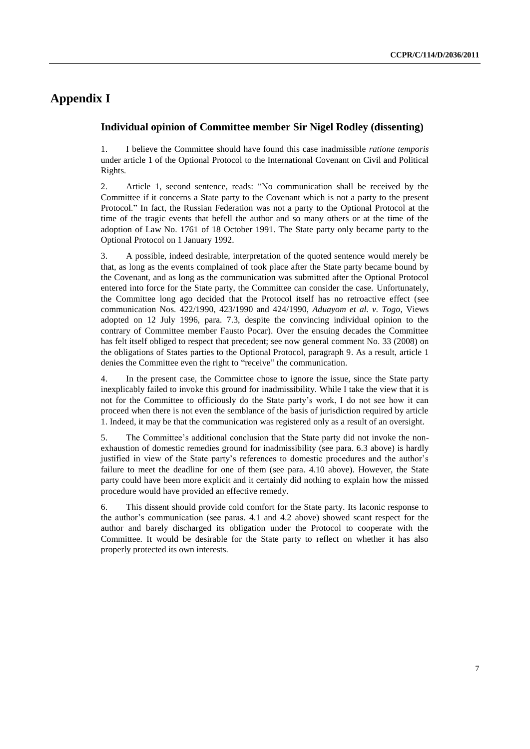# **Appendix I**

### **Individual opinion of Committee member Sir Nigel Rodley (dissenting)**

1. I believe the Committee should have found this case inadmissible *ratione temporis* under article 1 of the Optional Protocol to the International Covenant on Civil and Political Rights.

2. Article 1, second sentence, reads: "No communication shall be received by the Committee if it concerns a State party to the Covenant which is not a party to the present Protocol." In fact, the Russian Federation was not a party to the Optional Protocol at the time of the tragic events that befell the author and so many others or at the time of the adoption of Law No. 1761 of 18 October 1991. The State party only became party to the Optional Protocol on 1 January 1992.

3. A possible, indeed desirable, interpretation of the quoted sentence would merely be that, as long as the events complained of took place after the State party became bound by the Covenant, and as long as the communication was submitted after the Optional Protocol entered into force for the State party, the Committee can consider the case. Unfortunately, the Committee long ago decided that the Protocol itself has no retroactive effect (see communication Nos. 422/1990, 423/1990 and 424/1990, *Aduayom et al. v. Togo*, Views adopted on 12 July 1996, para. 7.3, despite the convincing individual opinion to the contrary of Committee member Fausto Pocar). Over the ensuing decades the Committee has felt itself obliged to respect that precedent; see now general comment No. 33 (2008) on the obligations of States parties to the Optional Protocol, paragraph 9. As a result, article 1 denies the Committee even the right to "receive" the communication.

4. In the present case, the Committee chose to ignore the issue, since the State party inexplicably failed to invoke this ground for inadmissibility. While I take the view that it is not for the Committee to officiously do the State party's work, I do not see how it can proceed when there is not even the semblance of the basis of jurisdiction required by article 1. Indeed, it may be that the communication was registered only as a result of an oversight.

5. The Committee's additional conclusion that the State party did not invoke the nonexhaustion of domestic remedies ground for inadmissibility (see para. 6.3 above) is hardly justified in view of the State party's references to domestic procedures and the author's failure to meet the deadline for one of them (see para. 4.10 above). However, the State party could have been more explicit and it certainly did nothing to explain how the missed procedure would have provided an effective remedy.

6. This dissent should provide cold comfort for the State party. Its laconic response to the author's communication (see paras. 4.1 and 4.2 above) showed scant respect for the author and barely discharged its obligation under the Protocol to cooperate with the Committee. It would be desirable for the State party to reflect on whether it has also properly protected its own interests.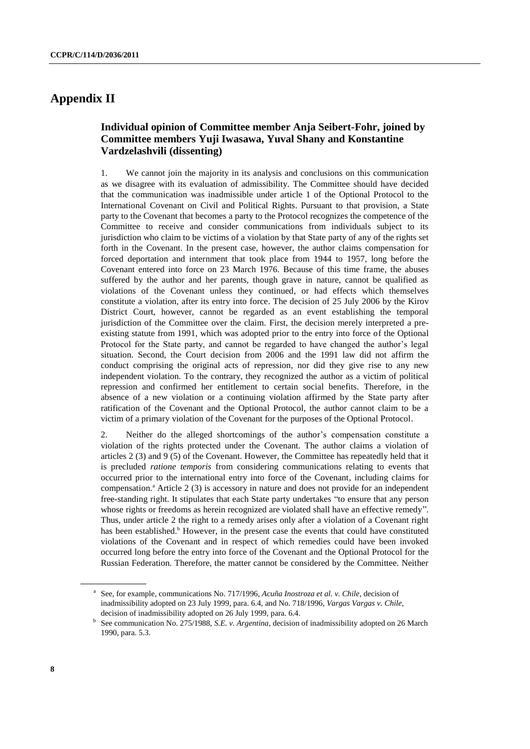## **Appendix II**

### **Individual opinion of Committee member Anja Seibert-Fohr, joined by Committee members Yuji Iwasawa, Yuval Shany and Konstantine Vardzelashvili (dissenting)**

1. We cannot join the majority in its analysis and conclusions on this communication as we disagree with its evaluation of admissibility. The Committee should have decided that the communication was inadmissible under article 1 of the Optional Protocol to the International Covenant on Civil and Political Rights. Pursuant to that provision, a State party to the Covenant that becomes a party to the Protocol recognizes the competence of the Committee to receive and consider communications from individuals subject to its jurisdiction who claim to be victims of a violation by that State party of any of the rights set forth in the Covenant. In the present case, however, the author claims compensation for forced deportation and internment that took place from 1944 to 1957, long before the Covenant entered into force on 23 March 1976. Because of this time frame, the abuses suffered by the author and her parents, though grave in nature, cannot be qualified as violations of the Covenant unless they continued, or had effects which themselves constitute a violation, after its entry into force. The decision of 25 July 2006 by the Kirov District Court, however, cannot be regarded as an event establishing the temporal jurisdiction of the Committee over the claim. First, the decision merely interpreted a preexisting statute from 1991, which was adopted prior to the entry into force of the Optional Protocol for the State party, and cannot be regarded to have changed the author's legal situation. Second, the Court decision from 2006 and the 1991 law did not affirm the conduct comprising the original acts of repression, nor did they give rise to any new independent violation. To the contrary, they recognized the author as a victim of political repression and confirmed her entitlement to certain social benefits. Therefore, in the absence of a new violation or a continuing violation affirmed by the State party after ratification of the Covenant and the Optional Protocol, the author cannot claim to be a victim of a primary violation of the Covenant for the purposes of the Optional Protocol.

2. Neither do the alleged shortcomings of the author's compensation constitute a violation of the rights protected under the Covenant. The author claims a violation of articles 2 (3) and 9 (5) of the Covenant. However, the Committee has repeatedly held that it is precluded *ratione temporis* from considering communications relating to events that occurred prior to the international entry into force of the Covenant, including claims for compensation.<sup>a</sup> Article 2 (3) is accessory in nature and does not provide for an independent free-standing right. It stipulates that each State party undertakes "to ensure that any person whose rights or freedoms as herein recognized are violated shall have an effective remedy". Thus, under article 2 the right to a remedy arises only after a violation of a Covenant right has been established.<sup>b</sup> However, in the present case the events that could have constituted violations of the Covenant and in respect of which remedies could have been invoked occurred long before the entry into force of the Covenant and the Optional Protocol for the Russian Federation. Therefore, the matter cannot be considered by the Committee. Neither

a See, for example, communications No. 717/1996, *Acuña Inostroza et al. v. Chile*, decision of inadmissibility adopted on 23 July 1999, para. 6.4, and No. 718/1996, *Vargas Vargas v. Chile*, decision of inadmissibility adopted on 26 July 1999, para. 6.4.

<sup>&</sup>lt;sup>b</sup> See communication No. 275/1988, *S.E. v. Argentina*, decision of inadmissibility adopted on 26 March 1990, para. 5.3.